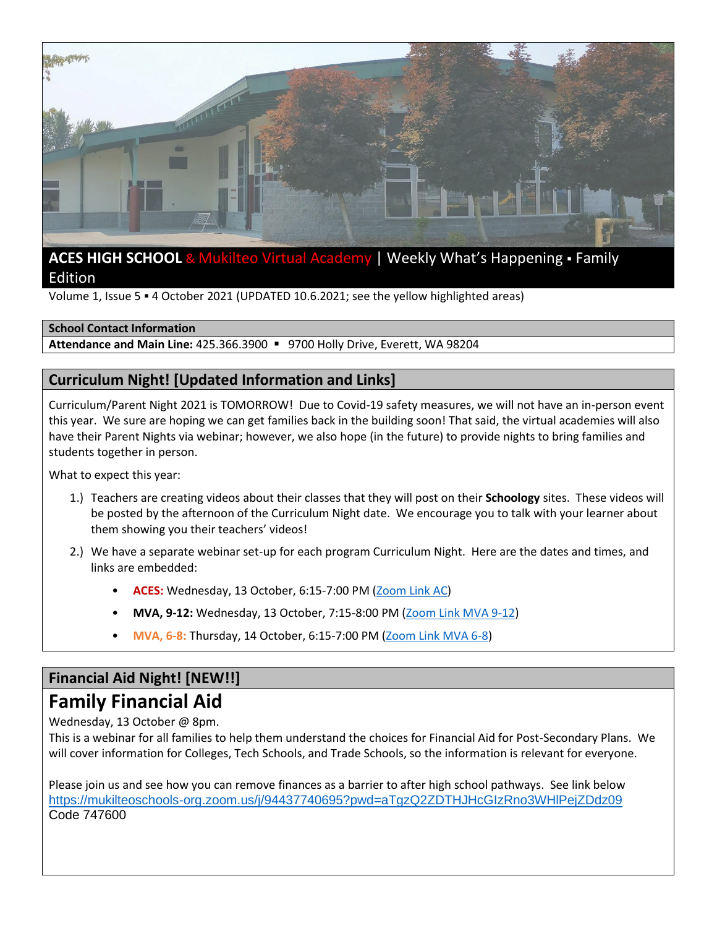

# **ACES HIGH SCHOOL & Mukilteo Virtual Academy | Weekly What's Happening · Family** Edition

Volume 1, Issue 5 . 4 October 2021 (UPDATED 10.6.2021; see the yellow highlighted areas)

#### **School Contact Information**

**Attendance and Main Line:** 425.366.3900 ▪ 9700 Holly Drive, Everett, WA 98204

# **Curriculum Night! [Updated Information and Links]**

Curriculum/Parent Night 2021 is TOMORROW! Due to Covid-19 safety measures, we will not have an in-person event this year. We sure are hoping we can get families back in the building soon! That said, the virtual academies will also have their Parent Nights via webinar; however, we also hope (in the future) to provide nights to bring families and students together in person.

What to expect this year:

- 1.) Teachers are creating videos about their classes that they will post on their **Schoology** sites. These videos will be posted by the afternoon of the Curriculum Night date. We encourage you to talk with your learner about them showing you their teachers' videos!
- 2.) We have a separate webinar set-up for each program Curriculum Night. Here are the dates and times, and links are embedded:
	- **ACES:** Wednesday, 13 October, 6:15-7:00 PM [\(Zoom Link AC\)](https://mukilteoschools-org.zoom.us/j/93628585287?pwd=RU5RRU1CYUM3ZEV3NDlJLzhQQ3FJQT09)
	- **MVA, 9-12:** Wednesday, 13 October, 7:15-8:00 PM [\(Zoom Link MVA 9-12\)](https://mukilteoschools-org.zoom.us/j/99412939142?pwd=R1lDZkVJRERJZGQwUGl3RjJRMnNkdz09)
	- **MVA, 6-8:** Thursday, 14 October, 6:15-7:00 PM [\(Zoom Link MVA 6-8\)](https://mukilteoschools-org.zoom.us/j/96806144597?pwd=M2JldTBkbk9jbVJQZFhmYUJUSGZ4dz09)

## **Financial Aid Night! [NEW!!]**

# **Family Financial Aid**

Wednesday, 13 October @ 8pm.

This is a webinar for all families to help them understand the choices for Financial Aid for Post-Secondary Plans. We will cover information for Colleges, Tech Schools, and Trade Schools, so the information is relevant for everyone.

Please join us and see how you can remove finances as a barrier to after high school pathways. See link below <https://mukilteoschools-org.zoom.us/j/94437740695?pwd=aTgzQ2ZDTHJHcGIzRno3WHlPejZDdz09> Code 747600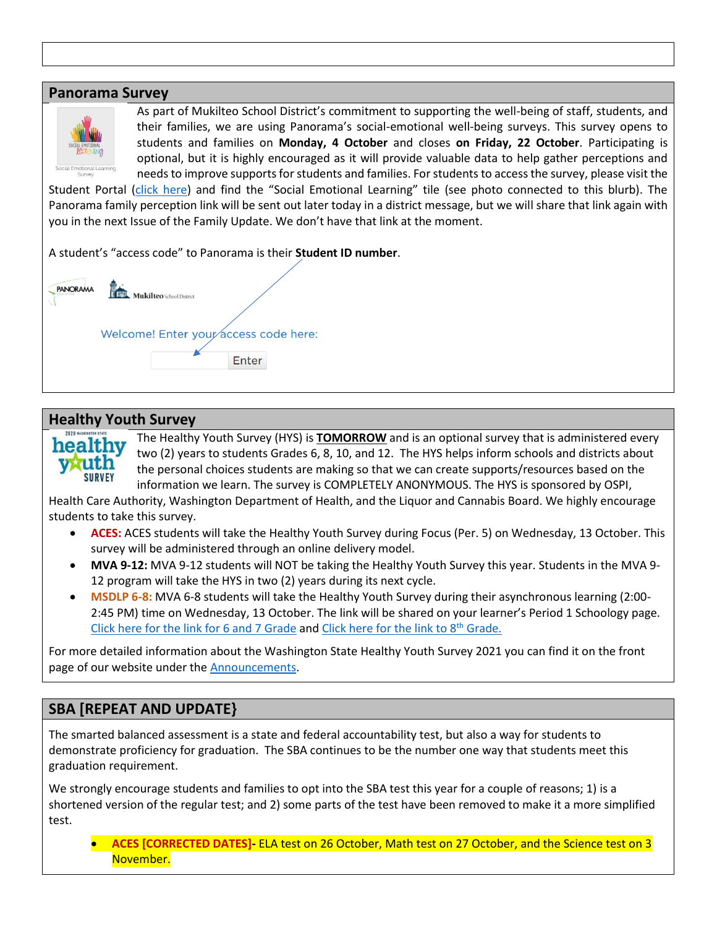#### **Panorama Survey**



As part of Mukilteo School District's commitment to supporting the well-being of staff, students, and their families, we are using Panorama's social-emotional well-being surveys. This survey opens to students and families on **Monday, 4 October** and closes **on Friday, 22 October**. Participating is optional, but it is highly encouraged as it will provide valuable data to help gather perceptions and needs to improve supports for students and families. For students to access the survey, please visit the

Student Portal [\(click here](https://www.mukilteoschools.org/domain/22)) and find the "Social Emotional Learning" tile (see photo connected to this blurb). The Panorama family perception link will be sent out later today in a district message, but we will share that link again with you in the next Issue of the Family Update. We don't have that link at the moment.

A student's "access code" to Panorama is their **Student ID number**.

PANORAMA Mukilteo School District Welcome! Enter your access code here: Enter

## **Healthy Youth Survey**

SURVEY

The Healthy Youth Survey (HYS) is **TOMORROW** and is an optional survey that is administered every healthy two (2) years to students Grades 6, 8, 10, and 12. The HYS helps inform schools and districts about the personal choices students are making so that we can create supports/resources based on the information we learn. The survey is COMPLETELY ANONYMOUS. The HYS is sponsored by OSPI,

Health Care Authority, Washington Department of Health, and the Liquor and Cannabis Board. We highly encourage students to take this survey.

- **ACES:** ACES students will take the Healthy Youth Survey during Focus (Per. 5) on Wednesday, 13 October. This survey will be administered through an online delivery model.
- **MVA 9-12:** MVA 9-12 students will NOT be taking the Healthy Youth Survey this year. Students in the MVA 9- 12 program will take the HYS in two (2) years during its next cycle.
- **MSDLP 6-8:** MVA 6-8 students will take the Healthy Youth Survey during their asynchronous learning (2:00- 2:45 PM) time on Wednesday, 13 October. The link will be shared on your learner's Period 1 Schoology page. [Click here for the link for 6 and 7 Grade](https://s.askhys.net/?s=2F9BA1) and [Click here for the link to 8](https://s.askhys.net/?s=2F9B9F)<sup>th</sup> Grade.

For more detailed information about the Washington State Healthy Youth Survey 2021 you can find it on the front page of our website under the **Announcements**.

# **SBA [REPEAT AND UPDATE}**

The smarted balanced assessment is a state and federal accountability test, but also a way for students to demonstrate proficiency for graduation. The SBA continues to be the number one way that students meet this graduation requirement.

We strongly encourage students and families to opt into the SBA test this year for a couple of reasons; 1) is a shortened version of the regular test; and 2) some parts of the test have been removed to make it a more simplified test.

• **ACES [CORRECTED DATES]-** ELA test on 26 October, Math test on 27 October, and the Science test on 3 November.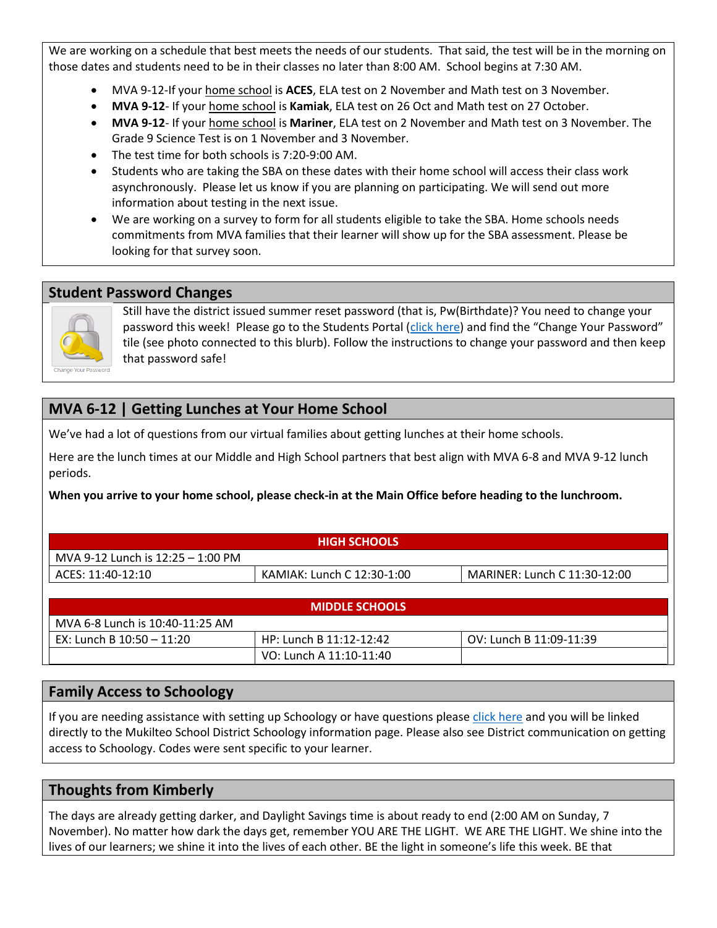We are working on a schedule that best meets the needs of our students. That said, the test will be in the morning on those dates and students need to be in their classes no later than 8:00 AM. School begins at 7:30 AM.

- MVA 9-12-If your home school is **ACES**, ELA test on 2 November and Math test on 3 November.
- MVA 9-12- If your home school is Kamiak, ELA test on 26 Oct and Math test on 27 October.
- **MVA 9-12** If your home school is **Mariner**, ELA test on 2 November and Math test on 3 November. The Grade 9 Science Test is on 1 November and 3 November.
- The test time for both schools is 7:20-9:00 AM.
- Students who are taking the SBA on these dates with their home school will access their class work asynchronously. Please let us know if you are planning on participating. We will send out more information about testing in the next issue.
- We are working on a survey to form for all students eligible to take the SBA. Home schools needs commitments from MVA families that their learner will show up for the SBA assessment. Please be looking for that survey soon.

## **Student Password Changes**



Still have the district issued summer reset password (that is, Pw(Birthdate)? You need to change your password this week! Please go to the Students Portal [\(click here](https://www.mukilteoschools.org/domain/22)) and find the "Change Your Password" tile (see photo connected to this blurb). Follow the instructions to change your password and then keep that password safe!

# **MVA 6-12 | Getting Lunches at Your Home School**

We've had a lot of questions from our virtual families about getting lunches at their home schools.

Here are the lunch times at our Middle and High School partners that best align with MVA 6-8 and MVA 9-12 lunch periods.

**When you arrive to your home school, please check-in at the Main Office before heading to the lunchroom.** 

| <b>HIGH SCHOOLS</b>               |                            |                              |  |
|-----------------------------------|----------------------------|------------------------------|--|
| MVA 9-12 Lunch is 12:25 – 1:00 PM |                            |                              |  |
| ACES: 11:40-12:10                 | KAMIAK: Lunch C 12:30-1:00 | MARINER: Lunch C 11:30-12:00 |  |

| <b>MIDDLE SCHOOLS</b>           |                         |                         |  |
|---------------------------------|-------------------------|-------------------------|--|
| MVA 6-8 Lunch is 10:40-11:25 AM |                         |                         |  |
| EX: Lunch B 10:50 - 11:20       | HP: Lunch B 11:12-12:42 | OV: Lunch B 11:09-11:39 |  |
|                                 | VO: Lunch A 11:10-11:40 |                         |  |

## **Family Access to Schoology**

If you are needing assistance with setting up Schoology or have questions please [click here](https://www.mukilteoschools.org/Page/14919) and you will be linked directly to the Mukilteo School District Schoology information page. Please also see District communication on getting access to Schoology. Codes were sent specific to your learner.

# **Thoughts from Kimberly**

The days are already getting darker, and Daylight Savings time is about ready to end (2:00 AM on Sunday, 7 November). No matter how dark the days get, remember YOU ARE THE LIGHT. WE ARE THE LIGHT. We shine into the lives of our learners; we shine it into the lives of each other. BE the light in someone's life this week. BE that